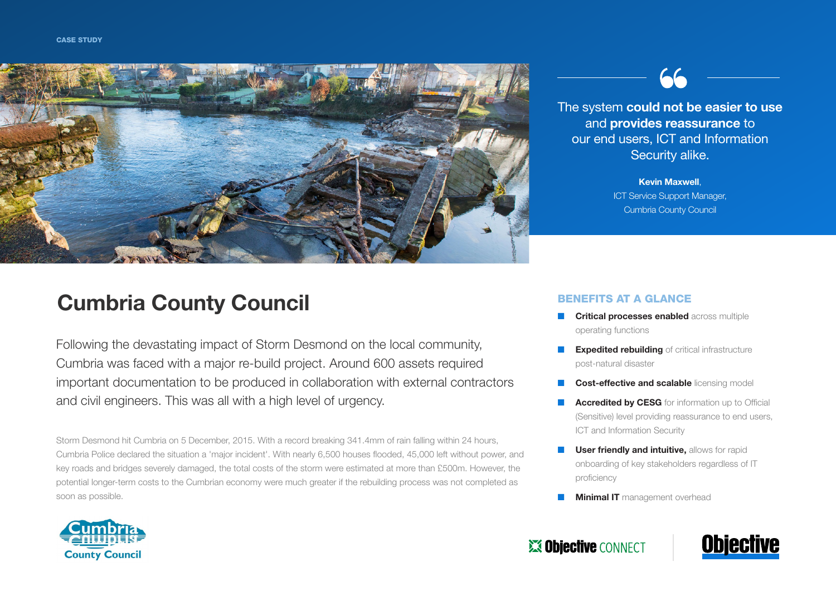

# Cumbria County Council

Following the devastating impact of Storm Desmond on the local community, Cumbria was faced with a major re-build project. Around 600 assets required important documentation to be produced in collaboration with external contractors and civil engineers. This was all with a high level of urgency.

Storm Desmond hit Cumbria on 5 December, 2015. With a record breaking 341.4mm of rain falling within 24 hours, Cumbria Police declared the situation a 'major incident'. With nearly 6,500 houses flooded, 45,000 left without power, and key roads and bridges severely damaged, the total costs of the storm were estimated at more than £500m. However, the potential longer-term costs to the Cumbrian economy were much greater if the rebuilding process was not completed as soon as possible.



The system could not be easier to use and provides reassurance to our end users, ICT and Information Security alike.

> Kevin Maxwell, ICT Service Support Manager, Cumbria County Council

#### BENEFITS AT A GLANCE

- **Critical processes enabled across multiple** operating functions
- **Expedited rebuilding** of critical infrastructure post-natural disaster
- **Cost-effective and scalable licensing model**
- **Accredited by CESG** for information up to Official (Sensitive) level providing reassurance to end users, ICT and Information Security
- **User friendly and intuitive, allows for rapid** onboarding of key stakeholders regardless of IT proficiency
- **Minimal IT** management overhead



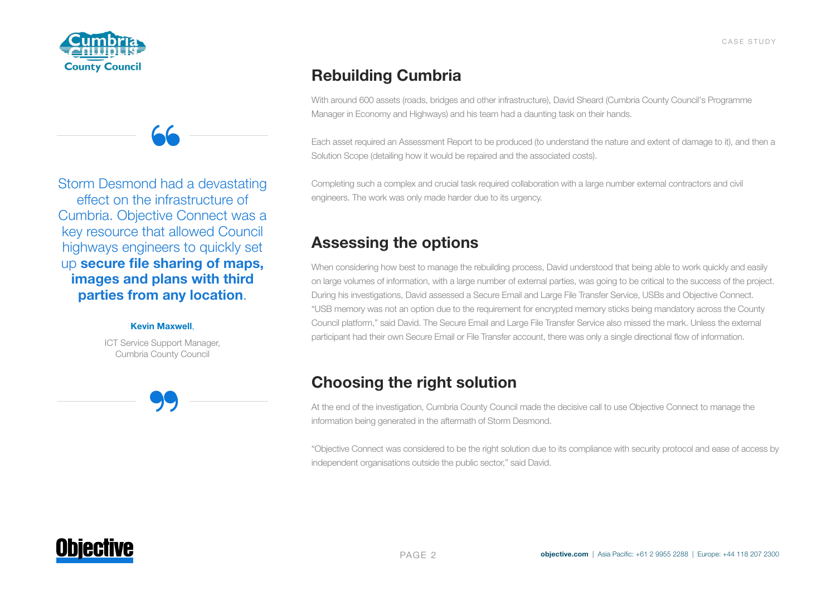



Storm Desmond had a devastating effect on the infrastructure of Cumbria. Objective Connect was a key resource that allowed Council highways engineers to quickly set up secure file sharing of maps, images and plans with third parties from any location.

#### Kevin Maxwell,

ICT Service Support Manager, Cumbria County Council

Rebuilding Cumbria

With around 600 assets (roads, bridges and other infrastructure), David Sheard (Cumbria County Council's Programme Manager in Economy and Highways) and his team had a daunting task on their hands.

Each asset required an Assessment Report to be produced (to understand the nature and extent of damage to it), and then a Solution Scope (detailing how it would be repaired and the associated costs).

Completing such a complex and crucial task required collaboration with a large number external contractors and civil engineers. The work was only made harder due to its urgency.

### Assessing the options

When considering how best to manage the rebuilding process, David understood that being able to work quickly and easily on large volumes of information, with a large number of external parties, was going to be critical to the success of the project. During his investigations, David assessed a Secure Email and Large File Transfer Service, USBs and Objective Connect. "USB memory was not an option due to the requirement for encrypted memory sticks being mandatory across the County Council platform," said David. The Secure Email and Large File Transfer Service also missed the mark. Unless the external participant had their own Secure Email or File Transfer account, there was only a single directional flow of information.

## Choosing the right solution

At the end of the investigation, Cumbria County Council made the decisive call to use Objective Connect to manage the information being generated in the aftermath of Storm Desmond.

"Objective Connect was considered to be the right solution due to its compliance with security protocol and ease of access by independent organisations outside the public sector," said David.

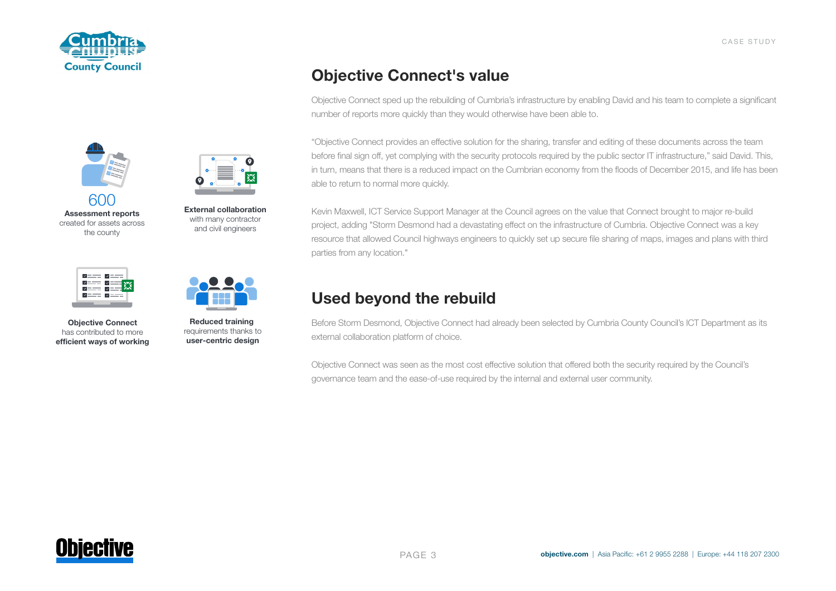



601 **Assessment reports** created for assets across the county

**External collaboration** with many contractor and civil engineers

ɳ



**Objective Connect** has contributed to more **efficient ways of working**



**Reduced training**  requirements thanks to **user-centric design**

### Objective Connect's value

Objective Connect sped up the rebuilding of Cumbria's infrastructure by enabling David and his team to complete a significant number of reports more quickly than they would otherwise have been able to.

"Objective Connect provides an effective solution for the sharing, transfer and editing of these documents across the team before final sign off, yet complying with the security protocols required by the public sector IT infrastructure," said David. This, in turn, means that there is a reduced impact on the Cumbrian economy from the floods of December 2015, and life has been able to return to normal more quickly.

Kevin Maxwell, ICT Service Support Manager at the Council agrees on the value that Connect brought to major re-build project, adding "Storm Desmond had a devastating effect on the infrastructure of Cumbria. Objective Connect was a key resource that allowed Council highways engineers to quickly set up secure file sharing of maps, images and plans with third parties from any location."

### Used beyond the rebuild

Before Storm Desmond, Objective Connect had already been selected by Cumbria County Council's ICT Department as its external collaboration platform of choice.

Objective Connect was seen as the most cost effective solution that offered both the security required by the Council's governance team and the ease-of-use required by the internal and external user community.